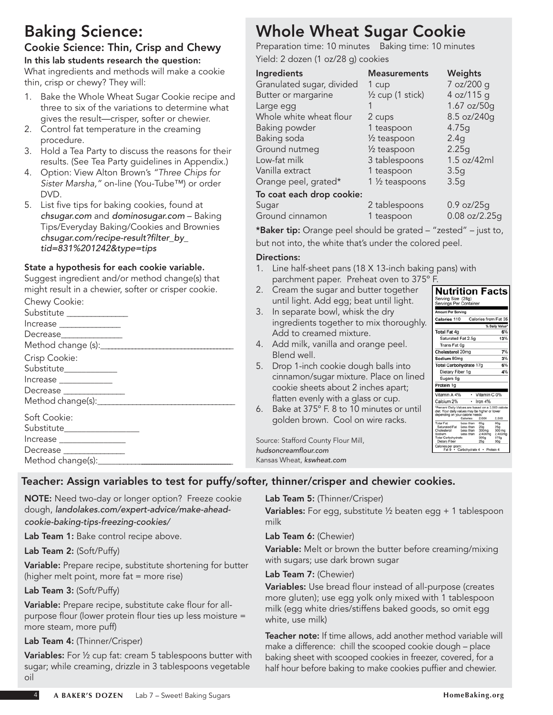## Baking Science:

#### Cookie Science: Thin, Crisp and Chewy In this lab students research the question:

What ingredients and methods will make a cookie thin, crisp or chewy? They will:

- Bake the Whole Wheat Sugar Cookie recipe and three to six of the variations to determine what gives the result—crisper, softer or chewier.
- 2. Control fat temperature in the creaming procedure.
- 3. Hold a Tea Party to discuss the reasons for their results. (See Tea Party guidelines in Appendix.)
- 4. Option: View Alton Brown's *"Three Chips for Sister Marsha,"* on-line (You-Tube™) or order DVD.
- 5. List five tips for baking cookies, found at *chsugar.com* and *dominosugar.com* – Baking Tips/Everyday Baking/Cookies and Brownies *chsugar.com/recipe-result?filter\_by\_ tid=831%201242&type=tips*

#### State a hypothesis for each cookie variable.

Suggest ingredient and/or method change(s) that might result in a chewier, softer or crisper cookie.

| Chewy Cookie:                       |  |
|-------------------------------------|--|
| Substitute ______________           |  |
| Increase ________________           |  |
| Decrease                            |  |
|                                     |  |
| Crisp Cookie:                       |  |
| Substitute____________              |  |
|                                     |  |
| Decrease ______________             |  |
|                                     |  |
| Soft Cookie:                        |  |
| Substitute__________________        |  |
| Increase ________________           |  |
| Decrease _______________            |  |
| Method change(s): Method change(s): |  |

# Whole Wheat Sugar Cookie

Preparation time: 10 minutes Baking time: 10 minutes Yield: 2 dozen (1 oz/28 g) cookies

| Ingredients               | <b>Measurements</b>           | Weights         |
|---------------------------|-------------------------------|-----------------|
| Granulated sugar, divided | 1 cup                         | 7 oz/200 g      |
| Butter or margarine       | 1/ <sub>2</sub> cup (1 stick) | 4 oz/115 g      |
| Large egg                 |                               | 1.67 oz/50g     |
| Whole white wheat flour   | 2 cups                        | 8.5 oz/240g     |
| Baking powder             | 1 teaspoon                    | 4.75g           |
| Baking soda               | 1/ <sub>2</sub> teaspoon      | 2.4g            |
| Ground nutmeg             | 1/ <sub>2</sub> teaspoon      | 2.25g           |
| Low-fat milk              | 3 tablespoons                 | 1.5 oz/42ml     |
| Vanilla extract           | 1 teaspoon                    | 3.5q            |
| Orange peel, grated*      | 1 1/ <sub>2</sub> teaspoons   | 3.5q            |
| To coat each drop cookie: |                               |                 |
| Sugar                     | 2 tablespoons                 | $0.9$ oz/ $25g$ |
| Ground cinnamon           | 1 teaspoon                    | $0.08$ oz/2.25g |

\*Baker tip: Orange peel should be grated – "zested" – just to, but not into, the white that's under the colored peel.

#### Directions:

- 1. Line half-sheet pans (18 X 13-inch baking pans) with parchment paper. Preheat oven to 375° F.<br>Cream the sugar and butter together **Nutrition Facts**
- 2. Cream the sugar and butter together until light. Add egg; beat until light.
- 3. In separate bowl, whisk the dry ingredients together to mix thoroughly. Add to creamed mixture.
- 4. Add milk, vanilla and orange peel. Blend well.
- 5. Drop 1-inch cookie dough balls into cinnamon/sugar mixture. Place on lined cookie sheets about 2 inches apart; flatten evenly with a glass or cup.
- 6. Bake at 375º F. 8 to 10 minutes or until golden brown. Cool on wire racks.

Source: Stafford County Flour Mill, *hudsoncreamflour.com* Kansas Wheat, *kswheat.com*

| Serving Size (28g)                                                                                                                       |                        |                      |                        |
|------------------------------------------------------------------------------------------------------------------------------------------|------------------------|----------------------|------------------------|
| Servings Per Container                                                                                                                   |                        |                      |                        |
| <b>Amount Per Serving</b>                                                                                                                |                        |                      |                        |
| Calories 110                                                                                                                             |                        | Calories from Fat 35 |                        |
|                                                                                                                                          |                        |                      | % Daily Value*         |
| Total Fat 4g                                                                                                                             |                        |                      | 6%                     |
| Saturated Fat 2.5g                                                                                                                       |                        |                      | 13%                    |
| Trans Fat 0g                                                                                                                             |                        |                      |                        |
| Cholesterol 20mg                                                                                                                         |                        |                      | 7%                     |
| Sodium 80mg                                                                                                                              |                        |                      | 3%                     |
| Total Carbohydrate 17g                                                                                                                   |                        |                      | 6%                     |
| Dietary Fiber 1g                                                                                                                         |                        |                      | 4%                     |
| Sugars 9g                                                                                                                                |                        |                      |                        |
| Protein 1g                                                                                                                               |                        |                      |                        |
|                                                                                                                                          |                        |                      |                        |
| Vitamin A 4%                                                                                                                             | ٠                      | Vitamin C 0%         |                        |
| Calcium 2%                                                                                                                               |                        | Iron 4%              |                        |
| *Percent Daily Values are based on a 2,000 calorie<br>diet. Your daily values may be higher or lower<br>depending on your calorie needs: |                        |                      |                        |
|                                                                                                                                          | Calories:              | 2.000                | 2.500                  |
| <b>Total Fat</b><br>Saturated Fat                                                                                                        | Less than<br>Less than | 65g<br>20a           | 80 <sub>9</sub><br>25a |
| Cholesterol                                                                                                                              | Less than              | 300 <sub>ma</sub>    | 300 mg                 |
| Sodium                                                                                                                                   | Less than              | 2,400mg              | 2.400mg                |
| <b>Total Carbohydrate</b>                                                                                                                |                        | 300 <sub>0</sub>     | 375g                   |
| Dietary Fiber                                                                                                                            |                        | 25 <sub>0</sub>      | 30 <sub>q</sub>        |
| Calories per gram:<br>Fat 9                                                                                                              | Carbohydrate 4         |                      | Protein 4              |

### Teacher: Assign variables to test for puffy/softer, thinner/crisper and chewier cookies.

NOTE: Need two-day or longer option? Freeze cookie dough, *landolakes.com/expert-advice/make-aheadcookie-baking-tips-freezing-cookies/*

Lab Team 1: Bake control recipe above.

Lab Team 2: (Soft/Puffy)

Variable: Prepare recipe, substitute shortening for butter (higher melt point, more fat = more rise)

#### Lab Team 3: (Soft/Puffy)

Variable: Prepare recipe, substitute cake flour for allpurpose flour (lower protein flour ties up less moisture = more steam, more puff)

#### Lab Team 4: (Thinner/Crisper)

Variables: For 1/2 cup fat: cream 5 tablespoons butter with sugar; while creaming, drizzle in 3 tablespoons vegetable oil

Lab Team 5: (Thinner/Crisper)

Variables: For egg, substitute 1/2 beaten egg + 1 tablespoon milk

#### Lab Team 6: (Chewier)

Variable: Melt or brown the butter before creaming/mixing with sugars; use dark brown sugar

#### Lab Team 7: (Chewier)

Variables: Use bread flour instead of all-purpose (creates more gluten); use egg yolk only mixed with 1 tablespoon milk (egg white dries/stiffens baked goods, so omit egg white, use milk)

Teacher note: If time allows, add another method variable will make a difference: chill the scooped cookie dough – place baking sheet with scooped cookies in freezer, covered, for a half hour before baking to make cookies puffier and chewier.